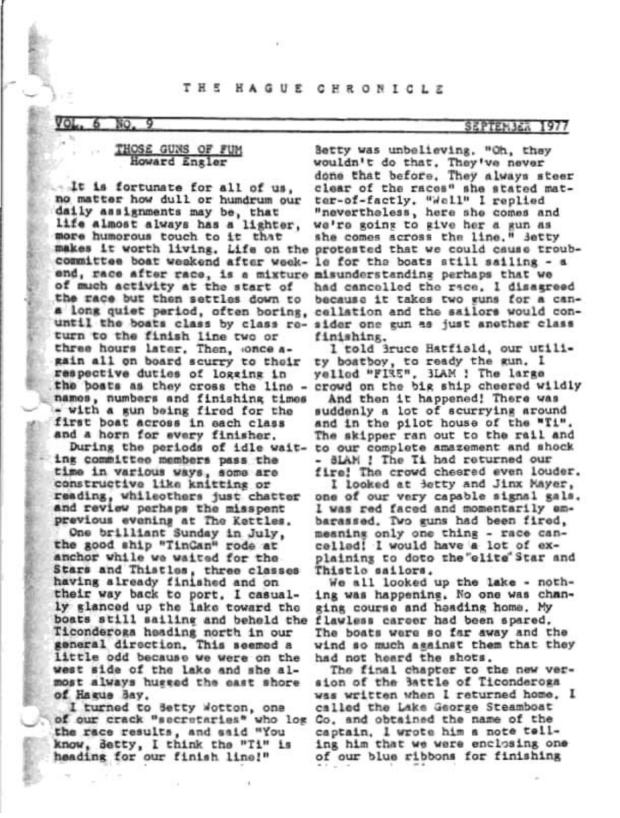#### TH 5 HAGUE CHRONICLE

#### 70)

### THOSE GUNS OF FUM Howard Engler

Lt is fortunate for all of us, no matter how dull or hundrum our daily assignments may be, that life almost always has a lighter, more humorous touch to it that committee boat weakend after week- le for the boats still sailing - a end, race after race, is a mixture misunderstanding perhaps that we of much activity at the start of the race but then settles down to turn to the finish line two or three hours later, Then, once again all on board scurry to their respective duties of logging in the boats as they cross the line names, numbers and finishing times - with a gun being fired for the first boat across in each class and a horn for every finisher.

During the periods of idle waiting committee members pass the time in various ways, some are constructive like knitting or reading, whileothers just chatter and review perhaps the misspent previous evening at The Kettles.

One brilliant Sunday in July, the good ship "TinGan" rode at anchor while we waited for the Stars and Thistles, three classes having already finished and on their way back to port. I casually glanced up the lake toward the boats still sailing and beheld the Ticonderoga heading north in our general direction. This seemed a little odd because we were on the west side of the lake and she almost always hugged the east shore of Hague Bay.

I turned to Setty Wotton, one of our crack "secretaries" who log Co, and obtained the name of the the race results, and said "You know, Betty, I think the "Ti" is heading for our finish line!"

## SEPTEMBER 1977

Betty was unbelieving, "Oh, they wouldn't do that. They've never done that before. They always steer clear of the races" she stated matter-of-factly. "Well" I replied<br>"nevertheless, here she comes and we're going to give her a gun as she comes across the line." Betty makes it worth living. Life on the protested that we could cause troubhad cancelled the race, I disagreed because it takes two guns for a can-# long quiet period, often boring, cellation and the sailors would conuntil the boats class by class re- sider one gun as just another class finishing.

> I told Bruce Hatfiald, our utility boatboy, to ready the gun. I yellod "FIRE", 3LAM ! The large crowd on the big ship cheered wildly

> And then it happened! There was suddenly a lot of scurrying around and in the pilot house of the "Ti". The skipper ran out to the rail and to our complete amazement and shock - SLAM ! The Ti had returned our fire! The crowd chesred even louder.

> I looked at Betty and Jinx Mayer, one of our very capable signal gals. I was red faced and momentarily embarassed. Two guns had been fired, meaning only one thing - race cancelled! I would have a lot of explaining to doto the elite Star and Thistlo sailors.

We all looked up the lake - nothing was happening. No one was changing course and heading home. My flawless career had been spared. The boats were so far away and the wind so much against them that they had not heard the shots.

The final chapter to the new version of the 3attle of Ticonderoga was written when I returned home. I called the Lake George Steamboat captain. I wrote him a note telling him that we were enclosing one of our blue ribbons for finishing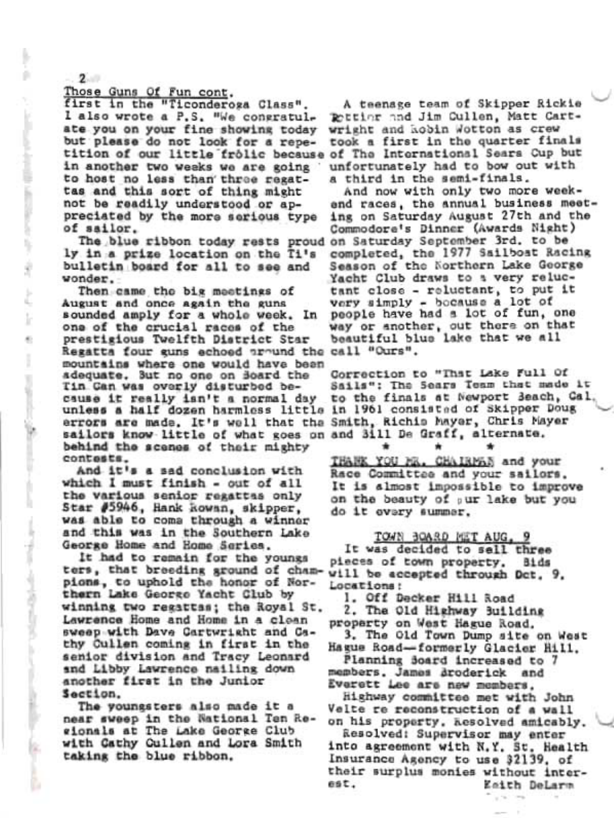Those Guns Of Fun cont.

first in the "Ticonderoga Class". l also wrote a P.S. "We congratulate you on your fine showing today but please do not look for a repetition of our little frolic because of The International Sears Cup but in another two weeks we are going to host no less than three regattas and this sort of thing might not be readily understood or appreciated by the more serious type of sailor.

ly in a prize location on the Ti's bulletin board for all to see and wonder.

Then came the big meetings of August and once again the guns sounded amply for a whole week. In one of the crucial races of the prestigious Twelfth District Star Regatta four guns echoed around the call "Ours". mountains where one would have been adequate. But no one on Board the Tin Can was overly disturbed because it really isn't a normal day unless a half dozen harmless little in 1961 consisted of Skipper Doug errors are made. It's well that the Smith, Richio Mayer, Chris Mayer sailors know little of what goes on and 3111 De Graff, alternate. behind the scenes of their mighty contests.

And it's a sad conclusion with which I must finish - out of all the various senior regattas only Star #5946, Hank kowan, skipper, was able to come through a winner and this was in the Southern Lake George Home and Home Series.

It had to remain for the youngs ters, that breeding ground of cham-will be accepted through Dct, 9, pions, to uphold the honor of Northern Lake George Yacht Club by winning two regattas; the Royal St. Lawrence Home and Home in a clean sweep with Dave Cartwright and Cathy Cullen coming in first in the senior division and Tracy Leonard and Libby Lawrence nailing down another first in the Junior Section.

The youngsters also made it a near sweep in the National Ten Regionals at The Lake George Club with Cathy Cullen and Lora Smith taking the blue ribbon.

A teenage team of Skipper Rickie Pottior and Jim Cullen, Matt Cartwright and kobin Wotton as crew took a first in the quarter finals unfortunately had to bow out with a third in the semi-finals.

And now with only two more weekend races, the annual business meeting on Saturday August 27th and the Commodore's Dinner (Awards Night) The blue ribbon today rests proud on Saturday September 3rd. to be completed, the 1977 Sailboat Racing Season of the Northern Lake George Yacht Club draws to a very reluctant close - reluctant, to put it very simply - bocause a lot of people have had a lot of fun, one way or another, out there on that<br>beautiful blue lake that we all

> Correction to "That Lake Full Of Sails": The Sears Team that made it to the finals at Newport Beach, Cal.

THANK YOU MR. CHAIRMAN and your Race Committee and your sailors. It is almost impossible to improve on the beauty of sur lake but you do it overy summer.

TOWN BOARD MET AUG. It was decided to sall three pieces of town property. Bids Locations:

1. Off Decker Hill Road

2. The Old Highway Building property on West Hague Road.

3. The Old Town Dump site on West Hague Road-formerly Glacier Hill.

Planning Soard increased to 7 members, James Broderick and Everett Lee are new members.

Highway committee met with John Velte re reconstruction of a wall on his property, kesolved amicably.

Resolved: Supervisor may enter into agreement with N.Y. St. Health Insurance Agency to use 32139, of their surplus monies without interest. Esith DeLarm

 $2$ 

acceptance of the control of the state of

ÿ

ŀ

形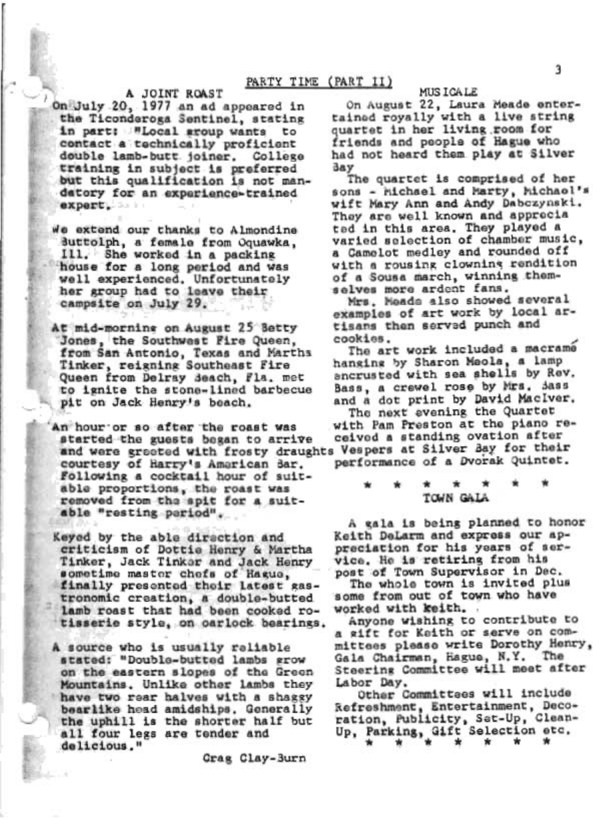# A JOINT ROAST

On July 20, 1977 an ad appeared in the Ticonderoga Sentinel, stating in part: "Local sroup wants to contact a technically proficient double lamb-butt joiner. College training in subject is preferred but this qualification is not mandatory for an experience-trained expert.

We extend our thanks to Almondine Buttolph, a female from Oquawka, Ill. She worked in a packing house for a long period and was well experienced. Unfortunately her group had to leave their campsite on July 29.

At mid-morning on August 25 Setty Jones, the Southwest Fire Queen, from San Antonio, Texas and Marths<br>Tinker, reigning Southeast Fire Queen from Delray Seach, Fla. met to ignite the stone-lined barbecue pit on Jack Henry's beach.

An hour or so after the roast was started the guests began to arrive and were greeted with frosty draughts Vespers at Silver Bay for their courtesy of Harry's American Bar. Following a cocktail hour of suitable proportions, the roast was removed from the spit for a suitable "resting period".

Keyed by the able direction and criticism of Dottie Henry & Martha Tinker, Jack Tinker and Jack Henry sometime master chefs of Hague, finally presented their latest gastronomic creation, a double-butted lamb roast that had been cooked rotisserie style, on oarlock bearings.

A source who is usually raliable stated: "Double-butted lambs grow on the eastern slopes of the Green Mountains, Unlike other lambs they have two rear halves with a shaggy bearlike head amidships. Generally the uphill is the shorter half but all four legs are tender and delicious."

Grag Clay-Burn

### MUS I GA LE

On August 22, Laura Meade entertained royally with a live string quartet in her living room for friends and people of Hague who had not heard them play at Silver day

The quartet is comprised of her sons - hichael and Marty, hichaol's wift Mary Ann and Andy Dabczynski. They are well known and apprecia ted in this area. They played a varied selection of chamber music, a Camelot medley and rounded off with a rousing clowning rendition of a Sousa march, winning themselves more ardent fans.

Mrs. Meads also showed several examples of art work by local artisans then served punch and cookies.

The art work included a macrame hanging by Sharon Meola, a lamp ancrusted with sea shells by Rev. Bass, a crewel rose by Mrs. Sass and a dot print by David MacIver.

The next evening the Quartet with Pam Preston at the piano received a standing ovation after performance of a Dvorak Quintet.

TOWN GALA

A gala is being planned to honor Keith DeLarm and express our appreciation for his years of service. He is retiring from his post of Town Supervisor in Dec.

The whole town is invited plus some from out of town who have worked with keith.

Anyone wishing to contribute to a wift for Keith or serve on committees please write Dorothy Henry, Gala Chairman, Hague, N.Y. The Steering Committee will meet after Labor Day.

Other Committees will include Refreshment, Entertainment, Decoration, Publicity, Set-Up, Clean-Up, Parking, Gift Selection etc.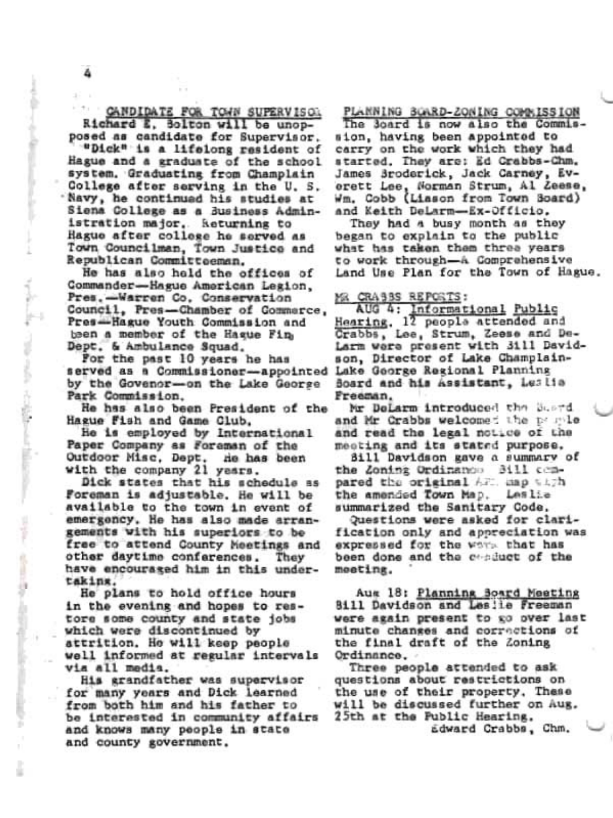CANDIDATE FOR TOWN SUPERVISOL Richard E. Bolton will be unopposed as candidate for Supervisor. "Dick" is a lifelong resident of Hague and a graduate of the school system. Graduating from Champlain College after serving in the U.S. 'Navy, he continued his studies at Siena College as a Business Administration major, keturning to Hague after college he served as Town Councilman, Town Justice and Republican Committeeman.

He has also held the offices of Commander-Hague American Legion. Pres.-Warren Co. Conservation Council, Pres-Chamber of Commarce, Pres-Hague Youth Commission and been a member of the Hague Fin-Dept. & Ambulance Squad.

For the past 10 years he has served as a Commissioner-appointed by the Govenor-on the Lake George Park Commission.

He has also been President of the Hague Fish and Game Club.

He is employed by International Paper Company as Foreman of the Outdoor Misc, Dept. He has been with the company 21 years.

Dick states that his schedule as Foreman is adjustable. He will be available to the town in event of emergency. He has also made arrangements with his superiors to be free to attend County Meetings and other daytime conferences. They have encouraged him in this undertaking.

He plans to hold office hours in the evening and hopes to restore some county and state jobs which were discontinued by attrition. He will keep people well informed at regular intervals via all media.

His grandfather was supervisor for many years and Dick learned from both him and his father to be interested in community affairs and knows many people in state and county government.

PLANNING BOARD-ZONING COMPLESSION

The 30ard is now also the Commission, having been appointed to carry on the work which they had started. They are: Ed Crabbs-Chm. James Broderick, Jack Carney, Everett Lee, Norman Strum, Al Zeese, Wm. Cobb (Liason from Town Board) and Keith DeLarm-Ex-Officio.

They had a busy month as they began to explain to the public what has taken them three years to work through-A Comprehensive Land Use Plan for the Town of Hague.

MR CRASSS REPORTS:

AUG 4: Informational Public<br>Hearing, 12 people attended and Crabbs, Lee, Strum, Zeese and De-Larm were present with 3111 Davidson, Director of Lake Champlain-Lake George Regional Planning Board and his Assistant, Leslia Freeman,

Mr DeLarm introduced the Sustd and Mr Crabbs welcomed the postle and read the legal notice of the meeting and its stated purpose.

Bill Davidson gave a summary of the Zoning Ordinanos Bill compared the original AFT. map with the amended Town Map. Leslie summarized the Sanitary Code,

Questions were asked for clarification only and appreciation was expressed for the work that has been done and the conduct of the meeting.

Aus 18: Planning Board Meeting 8111 Davidson and Leslie Freeman were again present to go over last minute changes and corrections of the final draft of the Zoning Ordinance.

Three people attended to ask questions about restrictions on the use of their property, These will be discussed further on Aug. 25th at the Public Hearing. adward Crabbs, Chm.

The cross-solic conditions of the conditions of the

**Company's Company** 

**Second Control** 

š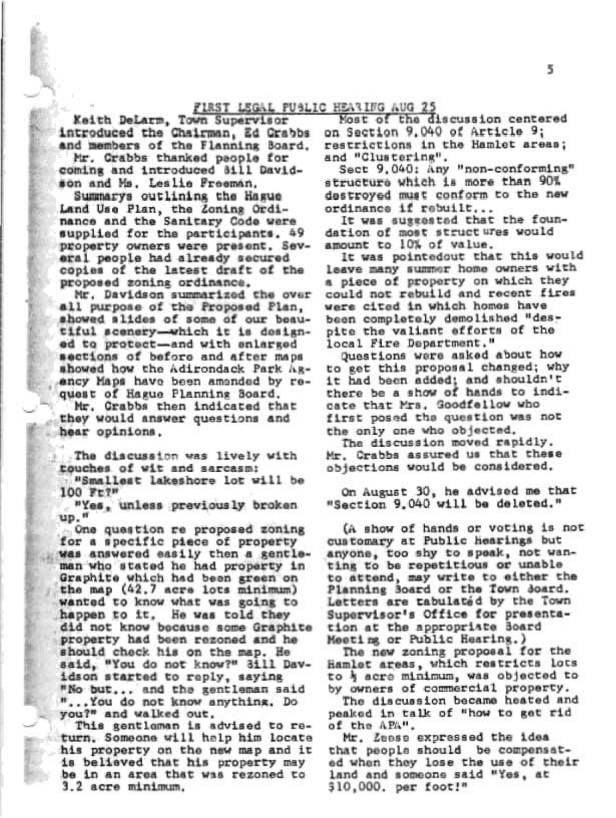# FIRST LEGAL PUBLIC HEARING AUG 25

Keith DeLarm, Town Supervisor introduced the Chairman, Ed Crabbs and members of the Flanning Board.

Mr. Crabbs thanked people for coming and introduced 8111 Davidson and Ms. Leslie Freeman.

Summarys outlining the Hague Land Use Plan, the Zoning Ordinance and the Sanitary Code were supplied for the participants. 49 property owners were present. Several people had already secured copies of the latest draft of the proposed zoning ordinance.

Mr. Davidson summarized the over all purpose of the Proposed Plan, showed slides of some of our beautiful scenery-which it is designed to protect-and with enlarged sections of before and after maps showed how the Adirondack Park Agency Maps have been amended by request of Hague Planning Board.

Mr. Crabbs then indicated that they would answer questions and hear opinions.

The discussion was lively with touches of wit and sarcasm: "Smallest lakeshore lot will be

100 Ft?"

"Yes, unless previously broken up."

One question re proposed zoning for a specific piece of property was answered easily then a gentleman who stated he had property in Graphite which had been green on the map (42.7 acre lots minimum) wanted to know what was going to happen to it. He was told they did not know because some Graphite property had been rezoned and he should check his on the map. He said, "You do not know?" 3ill Davidson started to reply, saying "No but... and the gentleman said "...You do not know anything. Do you?" and walked out.

This gentlaman is advised to return. Someone will help him locate his property on the new map and it is believed that his property may be in an area that was rezoned to 3.2 acre minimum.

Most of the discussion centered on Section 9.040 of Article 9; restrictions in the Hamlet areas; and "Clustering".

Sect 9.040: Any "non-conforming" structure which is more than 90% destroyed must conform to the new ordinance if rebuilt...

It was suggested that the foundation of most structures would amount to 10% of value.

It was pointedout that this would leave many summer home owners with a piece of property on which they could not rebuild and recent fires were cited in which homes have been completely demolished "despite the valiant efforts of the local Fire Department."

Questions were asked about how to get this proposal changed; why it had been added; and shouldn't there be a show of hands to indicate that Mrs. Goodfellow who first posed the question was not the only one who objected.

The discussion moved rapidly. Mr. Crabbs assured us that these objections would be considered.

On August 30, he advised me that "Section 9.040 will be deleted."

(A show of hands or voting is not customary at Public hearings but anyone, too shy to speak, not wanting to be repetitious or unable to attend, may write to either the Planning Board or the Town Board. Letters are tabulated by the Town Supervisor's Office for presentation at the appropriate Board Meeting or Public Hearing.)

The new zoning proposal for the Hamlet areas, which restricts lots to } acre minimum, was objected to by owners of commercial property.

The discussion became heated and peaked in talk of "how to get rid of the APA".

Mr. Zeese expressed the idea that peopla should be compensated when they lose the use of their land and someone said "Yes, at \$10,000. per foot!"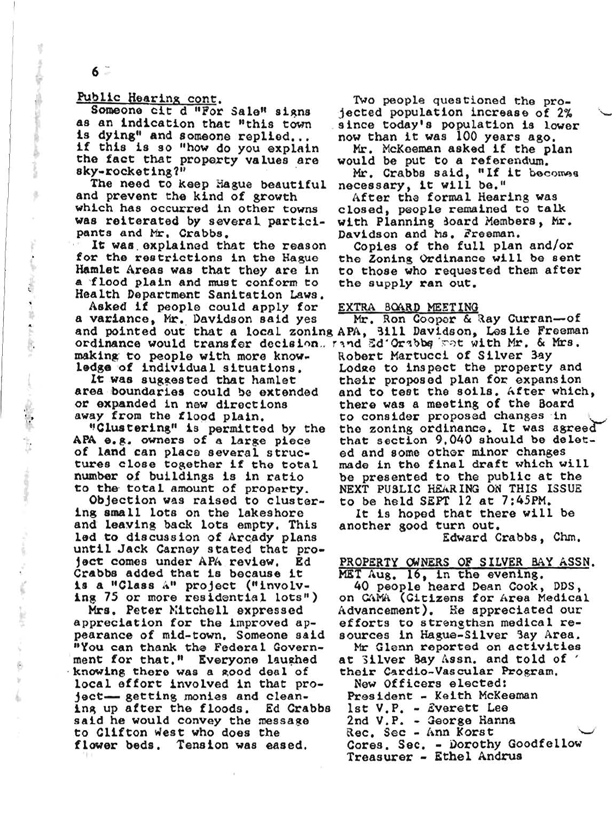Public Hearing cont.

 $6 -$ 

Ķ

 $\ddot{\phantom{a}}$ 

ğ,

石

Someone cit d "For Sale" signs as an indication that "this town is dying" and someone replied... if this is so "how do you explain the fact that property values are sky-rocketing?"

The need to keep Hague beautiful and prevent the kind of growth which has occurred in other towns was reiterated by several participants and Mr. Crabbs.

It was explained that the reason for the restrictions in the Hague Hamlet Areas was that they are in a flood plain and must conform to Health Department Sanitation Laws.

Asked if people could apply for a variance, Mr. Davidson said yes and pointed out that a local zoning APA, 3111 Davidson, Leslie Freeman ordinance would transfer decision. rand Ed'Orabbs with Mr. & Mrs. making to people with more knowledge of individual situations.

It was suggested that hamlet area boundaries could be extended or expanded in new directions away from the flood plain.

"Clustering" is permitted by the APA e.g. owners of a large piece of land can place several structures close together if the total number of buildings is in ratio to the total amount of property.

Objection was raised to clustering small lots on the lakeshore and leaving back lots empty. This led to discussion of Arcady plans until Jack Carney stated that project comes under APA review. Ed Crabbs added that is because it is a "Class A" project ("involving 75 or more residential lots")

Mrs. Peter Mitchell expressed appreciation for the improved appearance of mid-town, Someone said "You can thank the Federal Government for that." Everyone laughed knowing there was a good deal of local effort involved in that project- getting monies and cleaning up after the floods. Ed Crabbs said he would convey the message to Clifton west who does the flower beds. Tension was eased.

Two people questioned the projected population increase of 2% since today's population is lower now than it was 100 years ago.

Mr. McKeeman asked if the plan would be put to a referendum.

Mr. Crabbs said, "If it becomes necessary, it will be."

After the formal Hearing was closed, people remained to talk with Planning Board Members, Mr. Davidson and hs. Freeman.

Copies of the full plan and/or the Zoning Ordinance will be sent to those who requested them after the supply ran out.

#### EXTRA BOARD MEETING

Mr. Ron Cooper & Ray Curran-of Robert Martucci of Silver 3ay Lodge to inspect the property and their proposed plan for expansion and to test the soils. After which, there was a meeting of the Board to consider proposed changes in the zoning ordinance. It was agreed that section 9.040 should be deleted and some other minor changes made in the final draft which will be presented to the public at the NEXT PUSLIC HEARING ON THIS ISSUE to be held SEPT 12 at 7:45PM.

It is hoped that there will be another good turn out. Edward Crabbs, Chm.

# PROPERTY OWNERS OF SILVER BAY ASSN.

MET Aug. 16, in the evening.

40 people heard Dean Cook, DDS, on CAMA (Citizens for Area Medical Advancement). He appreciated our efforts to strengthen medical resources in Hague-Silver 3ay Area.

Mr Glenn reported on activities at Silver Bay Assn. and told of their Cardio-Vascular Program.

New Officers elected: President - Keith McKeeman lst V.P. - Everett Lee 2nd V.P. - George Hanna Rec. Sec - Ann Korst Cores. Sec. - Dorothy Goodfellow Treasurer - Ethel Andrus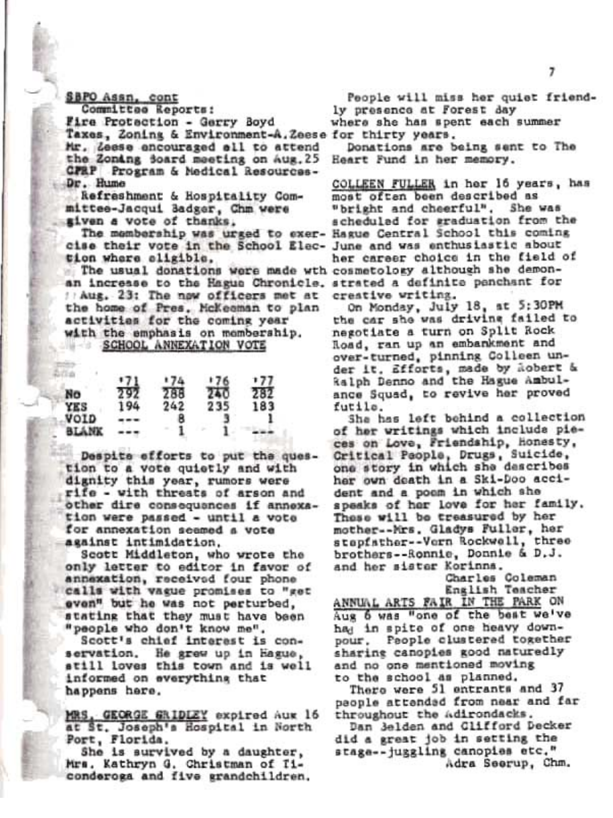# SBPO Assn. cont

Committee Reports: Fire Protaction - Gerry Boyd Taxes, Zoning & Environment-A.Zeese for thirty years. Mr. Leese encouraged all to attend the Zonang Soard meeting on Aug. 25 CPRP Program & Medical Resources-Dr. Hume

Refreshment & Hospitality Committee-Jacqui Badger, Chm were given a vote of thanks.

cise their vote in the School Elec- June and was enthusiastic about tion where eligible.

The usual donations were made wth cosmetology although she demonan increase to the Hague Chronicle, strated a definite penchant for // Aug. 23: The now officers met at the home of Pres. McKeeman to plan activities for the coming year with the emphasis on membership. SCHOOL ANNEXATION VOTE

|      | *71 | :74 | +76 | 177 |
|------|-----|-----|-----|-----|
| No   | 292 | 288 | 240 | 282 |
| YES  | 194 | 242 | 235 | 183 |
| VOID |     | 8   |     |     |
|      |     |     |     |     |

Despite efforts to put the question to a vote quietly and with dignity this year, rumors were rife - with threats of arson and other dire consequances if annexation were passed - until a vote for annexation seemed a vote against intimidation.

Scott Middleton, who wrote the only letter to editor in favor of annexation, received four phone calls with vague promises to "get even" but he was not perturbed. stating that they must have been "people who don't know me".

Scott's chief interest is con-He grew up in hague, servation. still loves this town and is well informed on everything that happens here.

MRS, GEORGE GRIDLEY expired Aux 16 at St. Joseph's Hospital in North Port, Florida.

She is survived by a daughter, Mrs. Kathryn G. Christman of Ticonderoga and five grandchildren.

People will miss her quiet friendly presence at Forest day where she has spent each summer

Donations are being sent to The Heart Fund in her memory.

COLLEEN FULLER in her 16 years, has most often been described as "bright and cheerful". She was scheduled for graduation from the The membership was urged to exer- Hague Central School this coming her career choice in the field of creative writing.

On Monday, July 18, at 5:30PM the car she was driving failed to negotiate a turn on Split Rock Road, ran up an embankment and over-turned, pinning Colleen under it. Efforts, made by Aobert & Ralph Denno and the Hague Ambulance Squad, to revive her proved futile.

She has left behind a collection of her writings which include pieces on Love, Friendship, Honesty, Critical People, Drugs, Suicide, one story in which she describes her own death in a Ski-Doo accident and a poem in which she speaks of her love for her family. Those will be treasured by her mother--Mrs. Gladys Fuller, her stapfather--Vorn Rockwell, three brothers--Ronnie, Donnie & D.J. and her sister Korinns.

Charles Coleman English Teacher

ANNUAL ARTS FAIR IN THE PARK ON Aug 6 was "one of the best we've had in spite of one heavy downpour, Paople clustered together sharing canopies good naturedly and no one mentioned moving to the school as planned.

There were 51 entrants and 37 people attended from near and far throughout the Adirondacks.

Dan 3elden and Clifford Decker did a great job in setting the stage--juggling canopies etc." Adra Seerup, Chm.